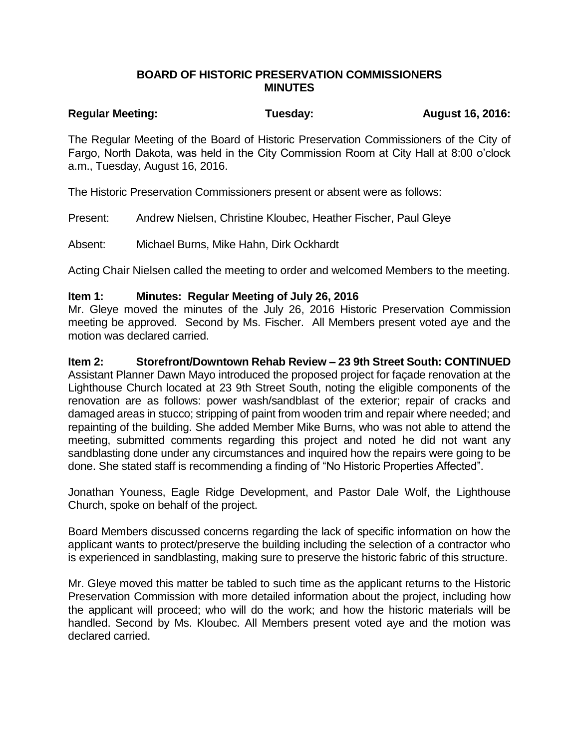### **BOARD OF HISTORIC PRESERVATION COMMISSIONERS MINUTES**

# Regular Meeting: Tuesday: Tuesday: August 16, 2016:

The Regular Meeting of the Board of Historic Preservation Commissioners of the City of Fargo, North Dakota, was held in the City Commission Room at City Hall at 8:00 o'clock a.m., Tuesday, August 16, 2016.

The Historic Preservation Commissioners present or absent were as follows:

Present: Andrew Nielsen, Christine Kloubec, Heather Fischer, Paul Gleye

Absent: Michael Burns, Mike Hahn, Dirk Ockhardt

Acting Chair Nielsen called the meeting to order and welcomed Members to the meeting.

#### **Item 1: Minutes: Regular Meeting of July 26, 2016**

Mr. Gleye moved the minutes of the July 26, 2016 Historic Preservation Commission meeting be approved. Second by Ms. Fischer. All Members present voted aye and the motion was declared carried.

#### **Item 2: Storefront/Downtown Rehab Review – 23 9th Street South: CONTINUED**

Assistant Planner Dawn Mayo introduced the proposed project for façade renovation at the Lighthouse Church located at 23 9th Street South, noting the eligible components of the renovation are as follows: power wash/sandblast of the exterior; repair of cracks and damaged areas in stucco; stripping of paint from wooden trim and repair where needed; and repainting of the building. She added Member Mike Burns, who was not able to attend the meeting, submitted comments regarding this project and noted he did not want any sandblasting done under any circumstances and inquired how the repairs were going to be done. She stated staff is recommending a finding of "No Historic Properties Affected".

Jonathan Youness, Eagle Ridge Development, and Pastor Dale Wolf, the Lighthouse Church, spoke on behalf of the project.

Board Members discussed concerns regarding the lack of specific information on how the applicant wants to protect/preserve the building including the selection of a contractor who is experienced in sandblasting, making sure to preserve the historic fabric of this structure.

Mr. Gleye moved this matter be tabled to such time as the applicant returns to the Historic Preservation Commission with more detailed information about the project, including how the applicant will proceed; who will do the work; and how the historic materials will be handled. Second by Ms. Kloubec. All Members present voted aye and the motion was declared carried.